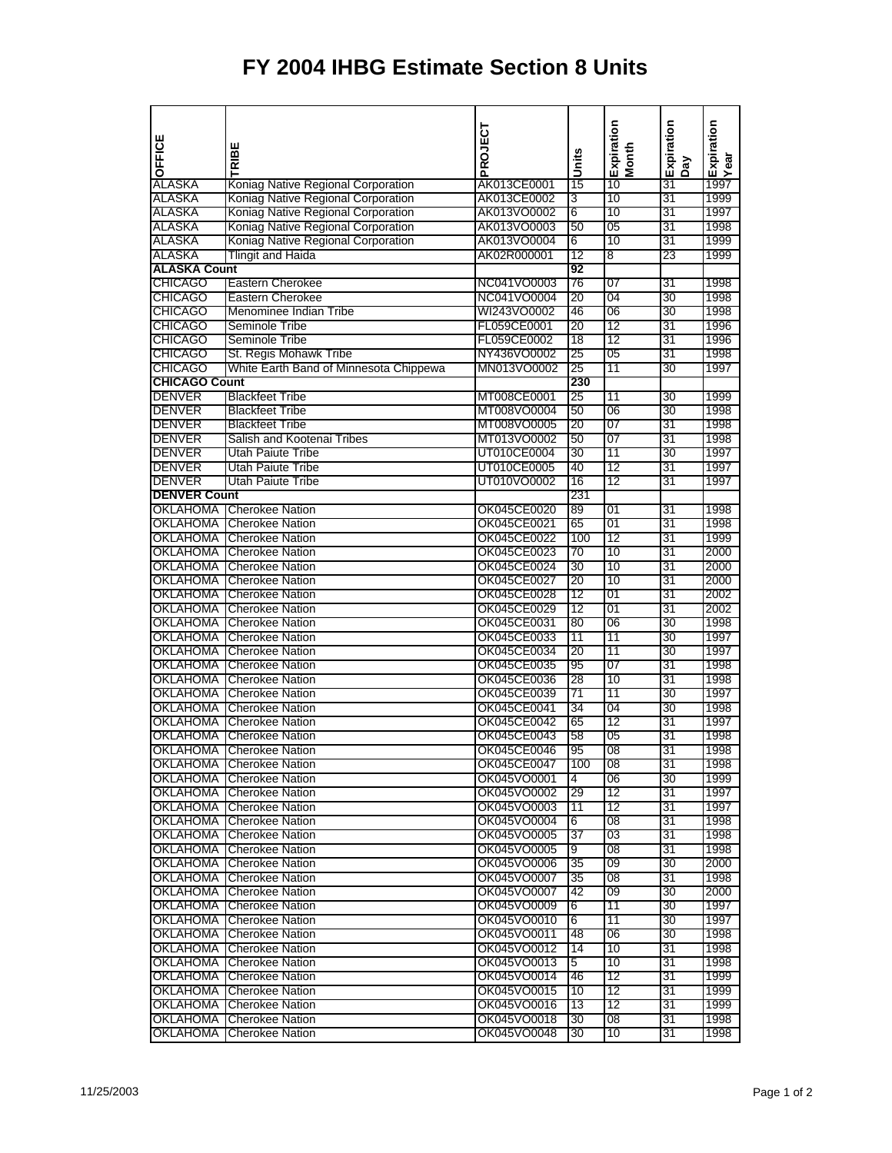## **FY 2004 IHBG Estimate Section 8 Units**

| OFFICE               | TRIBE                                  | PROJECT     | Units | Expiration<br>Month | Expiration | Expiration<br>Year |
|----------------------|----------------------------------------|-------------|-------|---------------------|------------|--------------------|
|                      |                                        |             |       |                     | Day        |                    |
| ALASKA               | Koniag Native Regional Corporation     | AK013CE0001 | 15    | 10                  | 31         | 1997               |
| ALASKA               | Koniag Native Regional Corporation     | AK013CE0002 | 3     | 10                  | 31         | 1999               |
| <b>ALASKA</b>        | Koniag Native Regional Corporation     | AK013VO0002 | 6     | 10                  | 31         | 1997               |
| <b>ALASKA</b>        | Koniag Native Regional Corporation     | AK013VO0003 | 50    | 05                  | 31         | 1998               |
| <b>ALASKA</b>        | Koniag Native Regional Corporation     | AK013VO0004 | 6     | 10                  | 31         | 1999               |
| <b>ALASKA</b>        | Tlingit and Haida                      | AK02R000001 | 12    | 8                   | 23         | 1999               |
| <b>ALASKA Count</b>  |                                        |             | 92    |                     |            |                    |
| <b>CHICAGO</b>       | Eastern Cherokee                       | NC041VO0003 | 76    | 07                  | 31         | 1998               |
| <b>CHICAGO</b>       | Eastern Cherokee                       | NC041VO0004 | 20    | 04                  | 30         | 1998               |
| <b>CHICAGO</b>       | Menominee Indian Tribe                 |             | 46    | 06                  | 30         |                    |
|                      |                                        | WI243VO0002 |       |                     |            | 1998               |
| <b>CHICAGO</b>       | Seminole Tribe                         | FL059CE0001 | 20    | 12                  | 31         | 1996               |
| <b>CHICAGO</b>       | Seminole Tribe                         | FL059CE0002 | 18    | 12                  | 31         | 1996               |
| <b>CHICAGO</b>       | St. Regis Mohawk Tribe                 | NY436VO0002 | 25    | 05                  | 31         | 1998               |
| <b>CHICAGO</b>       | White Earth Band of Minnesota Chippewa | MN013VO0002 | 25    | 11                  | 30         | 1997               |
| <b>CHICAGO Count</b> |                                        |             | 230   |                     |            |                    |
| <b>DENVER</b>        | <b>Blackfeet Tribe</b>                 | MT008CE0001 | 25    | 11                  | 30         | 1999               |
| <b>DENVER</b>        | <b>Blackfeet Tribe</b>                 | MT008VO0004 | 50    | 06                  | 30         | 1998               |
| <b>DENVER</b>        | <b>Blackfeet Tribe</b>                 | MT008VO0005 | 20    | 07                  | 31         | 1998               |
| <b>DENVER</b>        | Salish and Kootenai Tribes             | MT013VO0002 | 50    | 07                  | 31         | 1998               |
| <b>DENVER</b>        | Utah Paiute Tribe                      | UT010CE0004 | 30    | 11                  | 30         | 1997               |
| DENVER               | Utah Paiute Tribe                      | UT010CE0005 | 40    | 12                  | 31         | 1997               |
| <b>DENVER</b>        | <b>Utah Paiute Tribe</b>               | UT010VO0002 | 16    | 12                  | 31         | 1997               |
| <b>DENVER Count</b>  |                                        |             | 231   |                     |            |                    |
| <b>OKLAHOMA</b>      |                                        |             |       |                     |            |                    |
|                      | <b>Cherokee Nation</b>                 | OK045CE0020 | 89    | 01                  | 31         | 1998               |
| OKLAHOMA             | <b>Cherokee Nation</b>                 | OK045CE0021 | 65    | 01                  | 31         | 1998               |
| OKLAHOMA             | <b>Cherokee Nation</b>                 | OK045CE0022 | 100   | 12                  | 31         | 1999               |
| OKLAHOMA             | <b>Cherokee Nation</b>                 | OK045CE0023 | 70    | 10                  | 31         | 2000               |
| OKLAHOMA             | <b>Cherokee Nation</b>                 | OK045CE0024 | 30    | 10                  | 31         | 2000               |
| OKLAHOMA             | <b>Cherokee Nation</b>                 | OK045CE0027 | 20    | 10                  | 31         | 2000               |
| <b>OKLAHOMA</b>      | <b>Cherokee Nation</b>                 | OK045CE0028 | 12    | 01                  | 31         | 2002               |
| OKLAHOMA             | <b>Cherokee Nation</b>                 | OK045CE0029 | 12    | 01                  | 31         | 2002               |
| OKLAHOMA             | <b>Cherokee Nation</b>                 | OK045CE0031 | 80    | 06                  | 30         | 1998               |
| OKLAHOMA             | <b>Cherokee Nation</b>                 | OK045CE0033 | 11    | 11                  | 30         | 1997               |
| OKLAHOMA             | <b>Cherokee Nation</b>                 | OK045CE0034 | 20    | 11                  | 30         | 1997               |
| OKLAHOMA             | <b>Cherokee Nation</b>                 | OK045CE0035 | 95    | 07                  | 31         | 1998               |
| <b>OKLAHOMA</b>      | <b>Cherokee Nation</b>                 | OK045CE0036 | 28    | 10                  | 31         | 1998               |
| <b>OKLAHOMA</b>      | <b>Cherokee Nation</b>                 | OK045CE0039 | 71    | 11                  | 30         | 1997               |
| OKLAHOMA             | <b>Cherokee Nation</b>                 | OK045CE0041 | 34    | 04                  | 30         | 1998               |
| OKLAHOMA             | <b>Cherokee Nation</b>                 | OK045CE0042 |       | 12                  | 31         |                    |
|                      |                                        |             | 65    |                     |            | 1997               |
| <b>OKLAHOMA</b>      | <b>Cherokee Nation</b>                 | OK045CE0043 | 58    | 05                  | 31         | 1998               |
|                      | OKLAHOMA Cherokee Nation               | OK045CE0046 | 95    | 08                  | 31         | 1998               |
|                      | <b>OKLAHOMA</b> Cherokee Nation        | OK045CE0047 | 100   | $\overline{08}$     | 31         | 1998               |
| OKLAHOMA             | <b>Cherokee Nation</b>                 | OK045VO0001 | 4     | 06                  | 30         | 1999               |
| OKLAHOMA             | <b>Cherokee Nation</b>                 | OK045VO0002 | 29    | 12                  | 31         | 1997               |
|                      | <b>OKLAHOMA</b> Cherokee Nation        | OK045VO0003 | 11    | 12                  | 31         | 1997               |
| OKLAHOMA             | <b>Cherokee Nation</b>                 | OK045VO0004 | 6     | 08                  | 31         | 1998               |
| OKLAHOMA             | <b>Cherokee Nation</b>                 | OK045VO0005 | 37    | 03                  | 31         | 1998               |
| <b>OKLAHOMA</b>      | <b>Cherokee Nation</b>                 | OK045VO0005 | 9     | $\overline{08}$     | 31         | 1998               |
| <b>OKLAHOMA</b>      | <b>Cherokee Nation</b>                 | OK045VO0006 | 35    | $\overline{09}$     | 30         | 2000               |
| <b>OKLAHOMA</b>      | <b>Cherokee Nation</b>                 | OK045VO0007 | 35    | $\overline{08}$     | 31         | 1998               |
| <b>OKLAHOMA</b>      | <b>Cherokee Nation</b>                 | OK045VO0007 | 42    | $\overline{09}$     | 30         | 2000               |
| <b>OKLAHOMA</b>      | <b>Cherokee Nation</b>                 | OK045VO0009 | 6     | 11                  | 30         | 1997               |
| <b>OKLAHOMA</b>      | <b>Cherokee Nation</b>                 | OK045VO0010 | 6     | 11                  | 30         | 1997               |
|                      |                                        |             |       |                     |            |                    |
| OKLAHOMA             | <b>Cherokee Nation</b>                 | OK045VO0011 | 48    | 06                  | 30         | 1998               |
| <b>OKLAHOMA</b>      | <b>Cherokee Nation</b>                 | OK045VO0012 | 14    | 10                  | 31         | 1998               |
| <b>OKLAHOMA</b>      | <b>Cherokee Nation</b>                 | OK045VO0013 | 5     | 10                  | 31         | 1998               |
| OKLAHOMA             | <b>Cherokee Nation</b>                 | OK045VO0014 | 46    | 12                  | 31         | 1999               |
| OKLAHOMA             | <b>Cherokee Nation</b>                 | OK045VO0015 | 10    | 12                  | 31         | 1999               |
| OKLAHOMA             | <b>Cherokee Nation</b>                 | OK045VO0016 | 13    | 12                  | 31         | 1999               |
| <b>OKLAHOMA</b>      | <b>Cherokee Nation</b>                 | OK045VO0018 | 30    | $\overline{08}$     | 31         | 1998               |
| <b>OKLAHOMA</b>      | <b>Cherokee Nation</b>                 | OK045VO0048 | 30    | 10                  | 31         | 1998               |